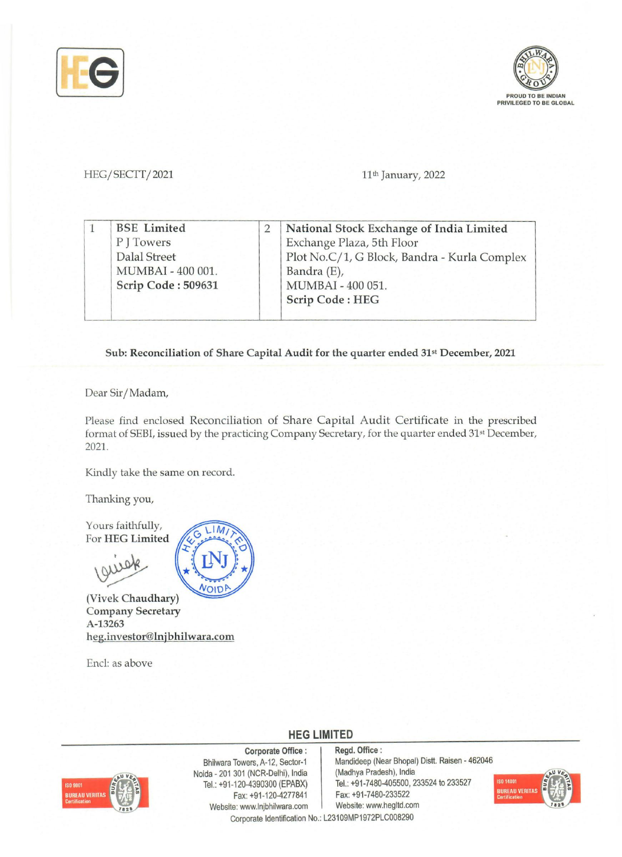



HEG/SECTT/2021 11<sup>th</sup> January, 2022

| Exchange Plaza, 5th Floor                    |
|----------------------------------------------|
|                                              |
| Plot No.C/1, G Block, Bandra - Kurla Complex |
|                                              |
|                                              |
|                                              |
| MUMBAI - 400 051.                            |

## Sub: Reconciliation of Share Capital Audit for the quarter ended 31st December, 2021

Dear Sir/Madam,

Please find enclosed Reconciliation of Share Capital Audit Certificate in the prescribed format of SEBI, issued by the practicing Company Secretary, for the quarter ended 31st December, 2021.

Kindly take the same on record.

Thanking you,

Yours faithfully, For HEG Limited

(Vivek Chaudhary) Company Secretary A-13263 heg.investor@lnjbhilwara.com

Encl: as above



**HEG LIMITED** 



Website: www.lnjbhilwara.com Website: www.hegltd.com Corporate Office : Bhilwara Towers, A-12, Sector-1 Noida - 201 301 (NCR-Delhi), India Tel.: +91-120-4390300 (EPABX) Fax: +91-120-4277841

Regd. Office: Mandideep (Near Bhopal) Distt. Raisen - 462046 (Madhya Pradesh), India Tel.: +91-7480-405500, 233524 to 233527 Fax: +91-7480-233522



Corporate Identification No.: L23109MP1972PLC008290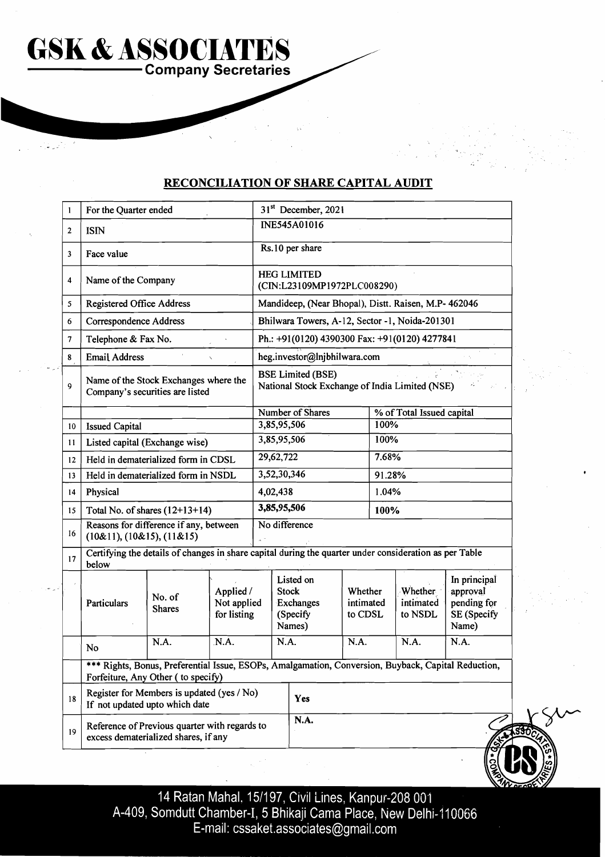**RECONCILIATION OF SHARE CAPITAL AUDIT** 

**COMPANY SECRETARY SCHOOLS ASSOCIATES** 

**GSK &ASSOCIATES** 

|  | 1  | For the Quarter ended                                                                 |                                                                                                                                           |      | 31 <sup>st</sup> December, 2021                              |                                                                            |     |                                 |       |                                 |                                                                 |  |
|--|----|---------------------------------------------------------------------------------------|-------------------------------------------------------------------------------------------------------------------------------------------|------|--------------------------------------------------------------|----------------------------------------------------------------------------|-----|---------------------------------|-------|---------------------------------|-----------------------------------------------------------------|--|
|  | 2  | <b>ISIN</b>                                                                           |                                                                                                                                           |      |                                                              | INE545A01016                                                               |     |                                 |       |                                 |                                                                 |  |
|  | 3  | Face value                                                                            |                                                                                                                                           |      | Rs.10 per share                                              |                                                                            |     |                                 |       |                                 |                                                                 |  |
|  | 4  | Name of the Company                                                                   |                                                                                                                                           |      |                                                              | <b>HEG LIMITED</b><br>(CIN:L23109MP1972PLC008290)                          |     |                                 |       |                                 |                                                                 |  |
|  | 5  | <b>Registered Office Address</b>                                                      |                                                                                                                                           |      |                                                              | Mandideep, (Near Bhopal), Distt. Raisen, M.P- 462046                       |     |                                 |       |                                 |                                                                 |  |
|  | 6  | <b>Correspondence Address</b>                                                         |                                                                                                                                           |      |                                                              | Bhilwara Towers, A-12, Sector -1, Noida-201301                             |     |                                 |       |                                 |                                                                 |  |
|  | 7  | Telephone & Fax No.                                                                   |                                                                                                                                           |      |                                                              | Ph.: +91(0120) 4390300 Fax: +91(0120) 4277841                              |     |                                 |       |                                 |                                                                 |  |
|  | 8  | <b>Email Address</b>                                                                  |                                                                                                                                           |      |                                                              | heg.investor@lnjbhilwara.com                                               |     |                                 |       |                                 |                                                                 |  |
|  | 9  | Name of the Stock Exchanges where the<br>Company's securities are listed              |                                                                                                                                           |      |                                                              | <b>BSE Limited (BSE)</b><br>National Stock Exchange of India Limited (NSE) |     |                                 |       |                                 |                                                                 |  |
|  |    |                                                                                       |                                                                                                                                           |      | Number of Shares                                             |                                                                            |     | % of Total Issued capital       |       |                                 |                                                                 |  |
|  | 10 | <b>Issued Capital</b>                                                                 |                                                                                                                                           |      |                                                              | 3,85,95,506                                                                |     |                                 | 100%  |                                 |                                                                 |  |
|  | 11 | Listed capital (Exchange wise)                                                        |                                                                                                                                           |      |                                                              | 3,85,95,506<br>100%                                                        |     |                                 |       |                                 |                                                                 |  |
|  | 12 |                                                                                       | Held in dematerialized form in CDSL                                                                                                       |      |                                                              | 29,62,722                                                                  |     |                                 | 7.68% |                                 |                                                                 |  |
|  | 13 | Held in dematerialized form in NSDL                                                   |                                                                                                                                           |      |                                                              | 3,52,30,346<br>91.28%                                                      |     |                                 |       |                                 |                                                                 |  |
|  | 14 | Physical                                                                              |                                                                                                                                           |      | 1.04%<br>4,02,438                                            |                                                                            |     |                                 |       |                                 |                                                                 |  |
|  | 15 | Total No. of shares $(12+13+14)$                                                      |                                                                                                                                           |      | 3,85,95,506<br>100%                                          |                                                                            |     |                                 |       |                                 |                                                                 |  |
|  | 16 | Reasons for difference if any, between<br>(10&11), (10&15), (11&15)                   |                                                                                                                                           |      |                                                              | No difference                                                              |     |                                 |       |                                 |                                                                 |  |
|  | 17 | below                                                                                 | Certifying the details of changes in share capital during the quarter under consideration as per Table                                    |      |                                                              |                                                                            |     |                                 |       |                                 |                                                                 |  |
|  |    | Particulars                                                                           | Applied /<br>No. of<br>Not applied<br><b>Shares</b><br>for listing                                                                        |      | Listed on<br><b>Stock</b><br>Exchanges<br>(Specify<br>Names) |                                                                            |     | Whether<br>intimated<br>to CDSL |       | Whether<br>intimated<br>to NSDL | In principal<br>approval<br>pending for<br>SE (Specify<br>Name) |  |
|  |    | No                                                                                    | N.A.                                                                                                                                      | N.A. |                                                              | N.A.                                                                       |     | N.A.                            |       | N.A.                            | N.A.                                                            |  |
|  |    |                                                                                       | *** Rights, Bonus, Preferential Issue, ESOPs, Amalgamation, Conversion, Buyback, Capital Reduction,<br>Forfeiture, Any Other (to specify) |      |                                                              |                                                                            |     |                                 |       |                                 |                                                                 |  |
|  | 18 | Register for Members is updated (yes / No)<br>If not updated upto which date          |                                                                                                                                           |      |                                                              |                                                                            | Yes |                                 |       |                                 |                                                                 |  |
|  | 19 | Reference of Previous quarter with regards to<br>excess dematerialized shares, if any |                                                                                                                                           |      | N.A.                                                         |                                                                            |     |                                 |       |                                 |                                                                 |  |

14 Ratan Mahal, 15/197, Civil Lines, Kanpur-208 001<br>A-409, Somdutt Chamber-I, 5 Bhikaji Cama Place, New Delhi-110066<br>E-mail: cssaket.associates@gmail.com